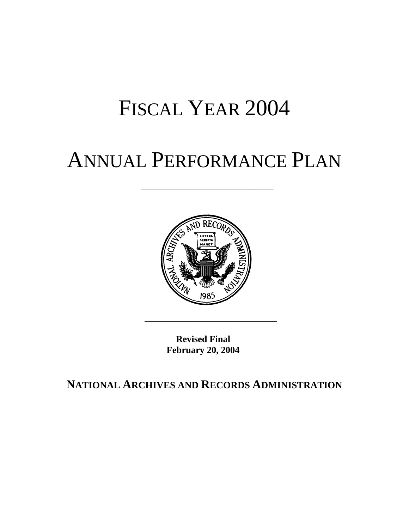## FISCAL YEAR 2004

## ANNUAL PERFORMANCE PLAN

\_\_\_\_\_\_\_\_\_\_\_\_\_\_\_\_\_\_\_\_\_\_\_\_\_\_\_\_\_\_\_\_\_



**Revised Final February 20, 2004** 

\_\_\_\_\_\_\_\_\_\_\_\_\_\_\_\_\_\_\_\_\_\_\_\_\_\_\_\_\_\_\_\_\_

**NATIONAL ARCHIVES AND RECORDS ADMINISTRATION**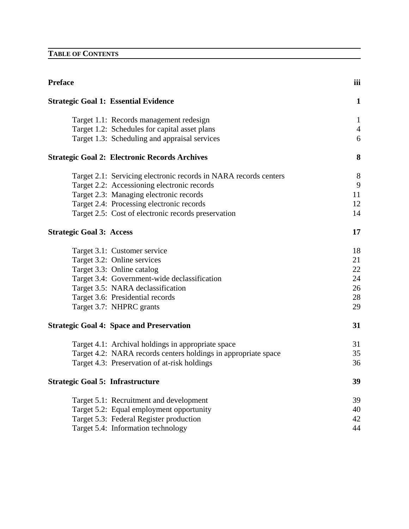## **TABLE OF CONTENTS**

| <b>Preface</b>                          |                                                                  | iii            |
|-----------------------------------------|------------------------------------------------------------------|----------------|
|                                         | <b>Strategic Goal 1: Essential Evidence</b>                      | $\mathbf{1}$   |
|                                         | Target 1.1: Records management redesign                          | $\mathbf{1}$   |
|                                         | Target 1.2: Schedules for capital asset plans                    | $\overline{4}$ |
|                                         | Target 1.3: Scheduling and appraisal services                    | 6              |
|                                         | <b>Strategic Goal 2: Electronic Records Archives</b>             | 8              |
|                                         | Target 2.1: Servicing electronic records in NARA records centers | 8              |
|                                         | Target 2.2: Accessioning electronic records                      | 9              |
|                                         | Target 2.3: Managing electronic records                          | 11             |
|                                         | Target 2.4: Processing electronic records                        | 12             |
|                                         | Target 2.5: Cost of electronic records preservation              | 14             |
| <b>Strategic Goal 3: Access</b>         |                                                                  | 17             |
|                                         | Target 3.1: Customer service                                     | 18             |
|                                         | Target 3.2: Online services                                      | 21             |
|                                         | Target 3.3: Online catalog                                       | 22             |
|                                         | Target 3.4: Government-wide declassification                     | 24             |
|                                         | Target 3.5: NARA declassification                                | 26             |
|                                         | Target 3.6: Presidential records                                 | 28             |
|                                         | Target 3.7: NHPRC grants                                         | 29             |
|                                         | <b>Strategic Goal 4: Space and Preservation</b>                  | 31             |
|                                         | Target 4.1: Archival holdings in appropriate space               | 31             |
|                                         | Target 4.2: NARA records centers holdings in appropriate space   | 35             |
|                                         | Target 4.3: Preservation of at-risk holdings                     | 36             |
| <b>Strategic Goal 5: Infrastructure</b> |                                                                  | 39             |
|                                         | Target 5.1: Recruitment and development                          | 39             |
|                                         | Target 5.2: Equal employment opportunity                         | 40             |
|                                         | Target 5.3: Federal Register production                          | 42             |
|                                         | Target 5.4: Information technology                               | 44             |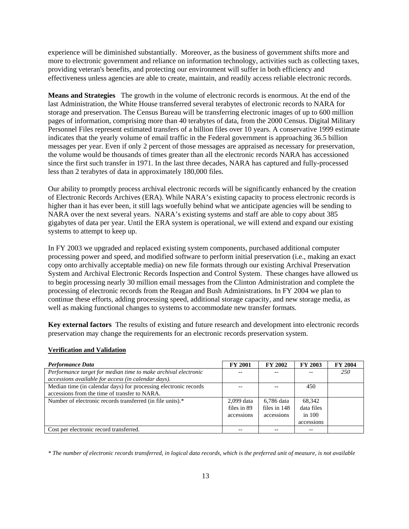experience will be diminished substantially. Moreover, as the business of government shifts more and more to electronic government and reliance on information technology, activities such as collecting taxes, providing veteran's benefits, and protecting our environment will suffer in both efficiency and effectiveness unless agencies are able to create, maintain, and readily access reliable electronic records.

**Means and Strategies** The growth in the volume of electronic records is enormous. At the end of the last Administration, the White House transferred several terabytes of electronic records to NARA for storage and preservation. The Census Bureau will be transferring electronic images of up to 600 million pages of information, comprising more than 40 terabytes of data, from the 2000 Census. Digital Military Personnel Files represent estimated transfers of a billion files over 10 years. A conservative 1999 estimate indicates that the yearly volume of email traffic in the Federal government is approaching 36.5 billion messages per year. Even if only 2 percent of those messages are appraised as necessary for preservation, the volume would be thousands of times greater than all the electronic records NARA has accessioned since the first such transfer in 1971. In the last three decades, NARA has captured and fully-processed less than 2 terabytes of data in approximately 180,000 files.

Our ability to promptly process archival electronic records will be significantly enhanced by the creation of Electronic Records Archives (ERA). While NARA's existing capacity to process electronic records is higher than it has ever been, it still lags woefully behind what we anticipate agencies will be sending to NARA over the next several years. NARA's existing systems and staff are able to copy about 385 gigabytes of data per year. Until the ERA system is operational, we will extend and expand our existing systems to attempt to keep up.

In FY 2003 we upgraded and replaced existing system components, purchased additional computer processing power and speed, and modified software to perform initial preservation (i.e., making an exact copy onto archivally acceptable media) on new file formats through our existing Archival Preservation System and Archival Electronic Records Inspection and Control System. These changes have allowed us to begin processing nearly 30 million email messages from the Clinton Administration and complete the processing of electronic records from the Reagan and Bush Administrations. In FY 2004 we plan to continue these efforts, adding processing speed, additional storage capacity, and new storage media, as well as making functional changes to systems to accommodate new transfer formats.

**Key external factors** The results of existing and future research and development into electronic records preservation may change the requirements for an electronic records preservation system.

| Performance Data                                                 | <b>FY 2001</b> | <b>FY 2002</b> | <b>FY 2003</b> | <b>FY 2004</b> |
|------------------------------------------------------------------|----------------|----------------|----------------|----------------|
| Performance target for median time to make archival electronic   |                |                |                | <b>250</b>     |
| accessions available for access (in calendar days).              |                |                |                |                |
| Median time (in calendar days) for processing electronic records |                |                | 450            |                |
| accessions from the time of transfer to NARA.                    |                |                |                |                |
| Number of electronic records transferred (in file units).*       | 2,099 data     | 6,786 data     | 68,342         |                |
|                                                                  | files in 89    | files in 148   | data files     |                |
|                                                                  | accessions     | accessions     | in $100$       |                |
|                                                                  |                |                | accessions     |                |
| Cost per electronic record transferred.                          |                |                |                |                |

## **Verification and Validation**

*\* The number of electronic records transferred, in logical data records, which is the preferred unit of measure, is not available*